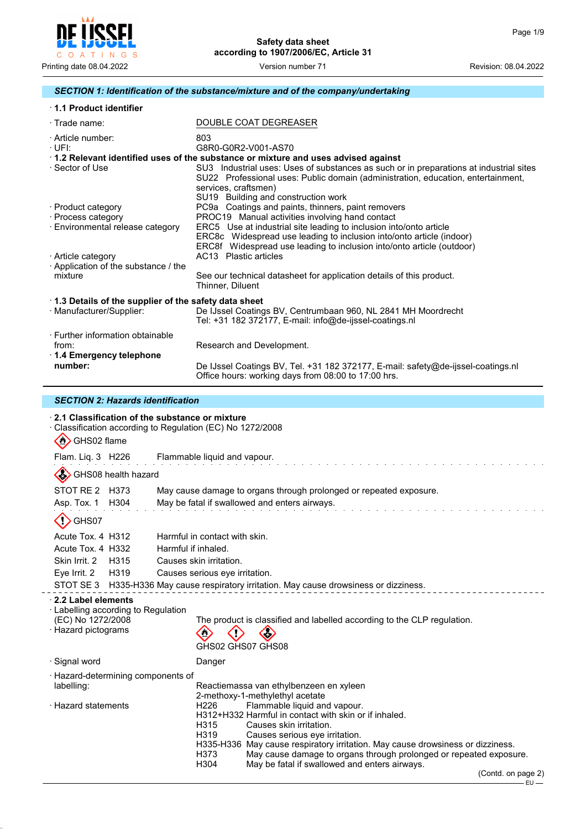

# *SECTION 1: Identification of the substance/mixture and of the company/undertaking*

| 1.1 Product identifier                                                           |                                                                                                                                                                                                                                                                                                                                        |  |  |  |
|----------------------------------------------------------------------------------|----------------------------------------------------------------------------------------------------------------------------------------------------------------------------------------------------------------------------------------------------------------------------------------------------------------------------------------|--|--|--|
| $\cdot$ Trade name:                                                              | DOUBLE COAT DEGREASER                                                                                                                                                                                                                                                                                                                  |  |  |  |
| · Article number:<br>+UFE                                                        | 803<br>G8R0-G0R2-V001-AS70                                                                                                                                                                                                                                                                                                             |  |  |  |
| ⋅ Sector of Use                                                                  | $\cdot$ 1.2 Relevant identified uses of the substance or mixture and uses advised against<br>SU3 Industrial uses: Uses of substances as such or in preparations at industrial sites<br>SU22 Professional uses: Public domain (administration, education, entertainment,<br>services, craftsmen)<br>SU19 Building and construction work |  |  |  |
| · Product category<br>· Process category<br>· Environmental release category     | PC9a Coatings and paints, thinners, paint removers<br>PROC19 Manual activities involving hand contact<br>ERC5 Use at industrial site leading to inclusion into/onto article<br>ERC8c Widespread use leading to inclusion into/onto article (indoor)<br>ERC8f Widespread use leading to inclusion into/onto article (outdoor)           |  |  |  |
| · Article category<br>Application of the substance / the<br>mixture              | AC13 Plastic articles<br>See our technical datasheet for application details of this product.<br>Thinner, Diluent                                                                                                                                                                                                                      |  |  |  |
| 1.3 Details of the supplier of the safety data sheet<br>· Manufacturer/Supplier: | De IJssel Coatings BV, Centrumbaan 960, NL 2841 MH Moordrecht<br>Tel: +31 182 372177, E-mail: info@de-ijssel-coatings.nl                                                                                                                                                                                                               |  |  |  |
| ⋅ Further information obtainable<br>from:<br>1.4 Emergency telephone             | Research and Development.                                                                                                                                                                                                                                                                                                              |  |  |  |
| number:                                                                          | De IJssel Coatings BV, Tel. +31 182 372177, E-mail: safety@de-ijssel-coatings.nl                                                                                                                                                                                                                                                       |  |  |  |

Office hours: working days from 08:00 to 17:00 hrs.

### *SECTION 2: Hazards identification*

| $\cdot$ 2.1 Classification of the substance or mixture<br>$\sum_{i=1}^{n}$<br>GHS02 flame             | Classification according to Regulation (EC) No 1272/2008                                                                                                                                                                                                                                                                                                                                                                                                                                                            |
|-------------------------------------------------------------------------------------------------------|---------------------------------------------------------------------------------------------------------------------------------------------------------------------------------------------------------------------------------------------------------------------------------------------------------------------------------------------------------------------------------------------------------------------------------------------------------------------------------------------------------------------|
| Flam. Liq. 3 H226                                                                                     | Flammable liquid and vapour.                                                                                                                                                                                                                                                                                                                                                                                                                                                                                        |
| GHS08 health hazard                                                                                   |                                                                                                                                                                                                                                                                                                                                                                                                                                                                                                                     |
| STOT RE 2 H373<br>Asp. Tox. 1 H304                                                                    | May cause damage to organs through prolonged or repeated exposure.<br>May be fatal if swallowed and enters airways.                                                                                                                                                                                                                                                                                                                                                                                                 |
| GHS07                                                                                                 |                                                                                                                                                                                                                                                                                                                                                                                                                                                                                                                     |
| Acute Tox. 4 H312<br>Acute Tox. 4 H332<br>Skin Irrit. 2<br>H315<br>Eye Irrit. 2 H319                  | Harmful in contact with skin.<br>Harmful if inhaled.<br>Causes skin irritation.<br>Causes serious eye irritation.<br>STOT SE 3 H335-H336 May cause respiratory irritation. May cause drowsiness or dizziness.                                                                                                                                                                                                                                                                                                       |
| 2.2 Label elements<br>· Labelling according to Regulation<br>(EC) No 1272/2008<br>· Hazard pictograms | The product is classified and labelled according to the CLP regulation.<br>GHS02 GHS07 GHS08                                                                                                                                                                                                                                                                                                                                                                                                                        |
| · Signal word                                                                                         | Danger                                                                                                                                                                                                                                                                                                                                                                                                                                                                                                              |
| Hazard-determining components of<br>labelling:<br>· Hazard statements                                 | Reactiemassa van ethylbenzeen en xyleen<br>2-methoxy-1-methylethyl acetate<br>Flammable liquid and vapour.<br>H <sub>226</sub><br>H312+H332 Harmful in contact with skin or if inhaled.<br>H315<br>Causes skin irritation.<br>H319<br>Causes serious eye irritation.<br>H335-H336 May cause respiratory irritation. May cause drowsiness or dizziness.<br>H373<br>May cause damage to organs through prolonged or repeated exposure.<br>H304<br>May be fatal if swallowed and enters airways.<br>(Contd. on page 2) |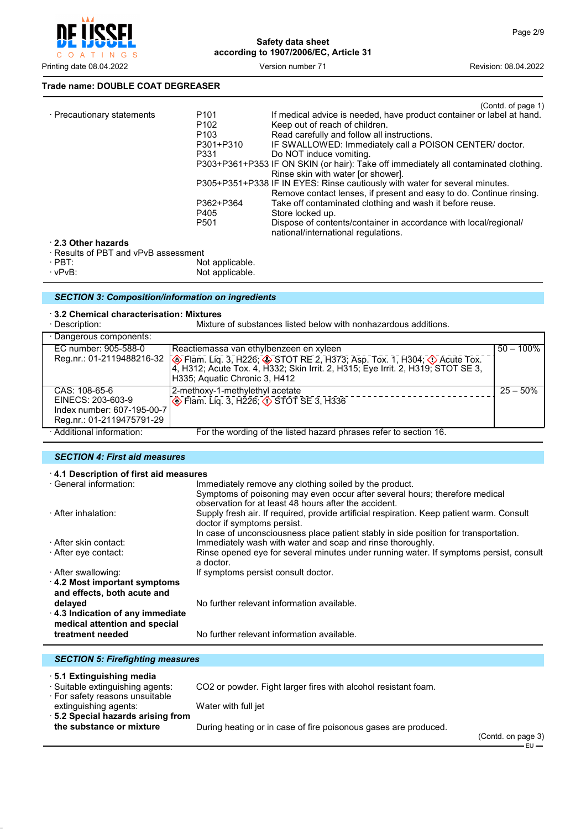

Printing date 08.04.2022 Version number 71 Revision: 08.04.2022

### **Trade name: DOUBLE COAT DEGREASER**

|                          | (Contd. of page 1)                                                                                      |
|--------------------------|---------------------------------------------------------------------------------------------------------|
| P <sub>101</sub>         | If medical advice is needed, have product container or label at hand.                                   |
| P <sub>102</sub>         | Keep out of reach of children.                                                                          |
| P <sub>103</sub>         | Read carefully and follow all instructions.                                                             |
| P301+P310                | IF SWALLOWED: Immediately call a POISON CENTER/ doctor.                                                 |
| P331                     | Do NOT induce vomiting.                                                                                 |
|                          | P303+P361+P353 IF ON SKIN (or hair): Take off immediately all contaminated clothing.                    |
|                          | Rinse skin with water for shower.                                                                       |
|                          | P305+P351+P338 IF IN EYES: Rinse cautiously with water for several minutes.                             |
|                          | Remove contact lenses, if present and easy to do. Continue rinsing.                                     |
| P362+P364                | Take off contaminated clothing and wash it before reuse.                                                |
| P405                     | Store locked up.                                                                                        |
| P <sub>501</sub>         | Dispose of contents/container in accordance with local/regional/<br>national/international regulations. |
|                          |                                                                                                         |
|                          |                                                                                                         |
| الملماء والمرمرة المرارا |                                                                                                         |
|                          | · Results of PBT and vPvB assessment                                                                    |

· PBT: Not applicable. · vPvB: Not applicable.

## *SECTION 3: Composition/information on ingredients*

# · **3.2 Chemical characterisation: Mixtures**

Mixture of substances listed below with nonhazardous additions.

| · Dangerous components:    |                                                                                                                                                                                              |              |
|----------------------------|----------------------------------------------------------------------------------------------------------------------------------------------------------------------------------------------|--------------|
| EC number: 905-588-0       | Reactiemassa van ethylbenzeen en xyleen                                                                                                                                                      | $50 - 100\%$ |
| Reg.nr.: 01-2119488216-32  | . ⑥ Flam. Liq. 3, H226; ⑧ STOT RE 2, H373, Asp. Tox. 1, H304; ① Acute Tox. 4, H312; Acute Tox. 4, H332; Skin Irrit. 2, H315; Eye Irrit. 2, H319; STOT SE 3,<br>H335; Aquatic Chronic 3, H412 |              |
| CAS: 108-65-6              | 2-methoxy-1-methylethyl acetate                                                                                                                                                              | $25 - 50\%$  |
| EINECS: 203-603-9          | $\otimes$ Flam. Liq. 3, H226; $\otimes$ STOT SE 3, H336                                                                                                                                      |              |
| Index number: 607-195-00-7 |                                                                                                                                                                                              |              |
| Reg.nr.: 01-2119475791-29  |                                                                                                                                                                                              |              |
| · Additional information:  | For the wording of the listed hazard phrases refer to section 16.                                                                                                                            |              |

### *SECTION 4: First aid measures*

| 4.1 Description of first aid measures   |                                                                                           |
|-----------------------------------------|-------------------------------------------------------------------------------------------|
| · General information:                  | Immediately remove any clothing soiled by the product.                                    |
|                                         | Symptoms of poisoning may even occur after several hours; therefore medical               |
|                                         | observation for at least 48 hours after the accident.                                     |
| · After inhalation:                     | Supply fresh air. If required, provide artificial respiration. Keep patient warm. Consult |
|                                         | doctor if symptoms persist.                                                               |
|                                         | In case of unconsciousness place patient stably in side position for transportation.      |
| · After skin contact:                   | Immediately wash with water and soap and rinse thoroughly.                                |
| ⋅ After eye contact:                    | Rinse opened eye for several minutes under running water. If symptoms persist, consult    |
|                                         | a doctor.                                                                                 |
| · After swallowing:                     | If symptoms persist consult doctor.                                                       |
| $\cdot$ 4.2 Most important symptoms     |                                                                                           |
| and effects, both acute and             |                                                                                           |
| delayed                                 | No further relevant information available.                                                |
| 4.3 Indication of any immediate         |                                                                                           |
| medical attention and special           |                                                                                           |
| treatment needed                        | No further relevant information available.                                                |
|                                         |                                                                                           |
|                                         |                                                                                           |
| <b>SECTION 5: Firefighting measures</b> |                                                                                           |

| <b>SLUTION J. I II GIRINING IIIGASULGS</b>                                                     |                                                                 |                    |
|------------------------------------------------------------------------------------------------|-----------------------------------------------------------------|--------------------|
| 5.1 Extinguishing media<br>· Suitable extinguishing agents:<br>· For safety reasons unsuitable | CO2 or powder. Fight larger fires with alcohol resistant foam.  |                    |
| extinguishing agents:                                                                          | Water with full jet                                             |                    |
| ⋅ 5.2 Special hazards arising from<br>the substance or mixture                                 | During heating or in case of fire poisonous gases are produced. |                    |
|                                                                                                |                                                                 | (Contd. on page 3) |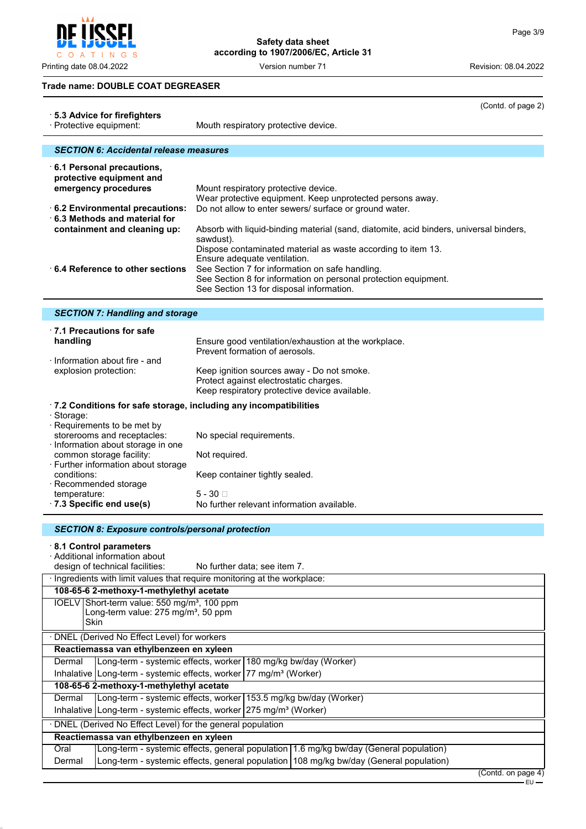$\overline{\mathbf{r}}$ C O A T I N G S

Printing date 08.04.2022 **Version number 71** Version 100 Version 21

# **Safety data sheet according to 1907/2006/EC, Article 31**

(Contd. of page 2)

### **Trade name: DOUBLE COAT DEGREASER**

| ⋅ 5.3 Advice for firefighters<br>· Protective equipment:                                                                                                                                                                   | (Comu. or page 2)<br>Mouth respiratory protective device.                                                                                                                                                                                                                                                                                                                                                                                                                                                                            |
|----------------------------------------------------------------------------------------------------------------------------------------------------------------------------------------------------------------------------|--------------------------------------------------------------------------------------------------------------------------------------------------------------------------------------------------------------------------------------------------------------------------------------------------------------------------------------------------------------------------------------------------------------------------------------------------------------------------------------------------------------------------------------|
| <b>SECTION 6: Accidental release measures</b>                                                                                                                                                                              |                                                                                                                                                                                                                                                                                                                                                                                                                                                                                                                                      |
| 6.1 Personal precautions,<br>protective equipment and<br>emergency procedures<br>$\cdot$ 6.2 Environmental precautions:<br>6.3 Methods and material for<br>containment and cleaning up:<br>6.4 Reference to other sections | Mount respiratory protective device.<br>Wear protective equipment. Keep unprotected persons away.<br>Do not allow to enter sewers/ surface or ground water.<br>Absorb with liquid-binding material (sand, diatomite, acid binders, universal binders,<br>sawdust).<br>Dispose contaminated material as waste according to item 13.<br>Ensure adequate ventilation.<br>See Section 7 for information on safe handling.<br>See Section 8 for information on personal protection equipment.<br>See Section 13 for disposal information. |
| <b>SECTION 7: Handling and storage</b>                                                                                                                                                                                     |                                                                                                                                                                                                                                                                                                                                                                                                                                                                                                                                      |
|                                                                                                                                                                                                                            |                                                                                                                                                                                                                                                                                                                                                                                                                                                                                                                                      |
| 17.1 Precautions for safe<br>handling                                                                                                                                                                                      | Ensure good ventilation/exhaustion at the workplace.<br>Prevent formation of aerosols.                                                                                                                                                                                                                                                                                                                                                                                                                                               |
| $\cdot$ Information about fire - and<br>explosion protection:                                                                                                                                                              | Keep ignition sources away - Do not smoke.<br>Protect against electrostatic charges.<br>Keep respiratory protective device available.                                                                                                                                                                                                                                                                                                                                                                                                |
| .7.2 Conditions for safe storage, including any incompatibilities                                                                                                                                                          |                                                                                                                                                                                                                                                                                                                                                                                                                                                                                                                                      |
| · Storage:<br>· Requirements to be met by<br>storerooms and receptacles:<br>· Information about storage in one<br>common storage facility:<br>· Further information about storage<br>conditions:                           | No special requirements.<br>Not required.                                                                                                                                                                                                                                                                                                                                                                                                                                                                                            |
| · Recommended storage<br>temperature:<br>7.3 Specific end use(s)                                                                                                                                                           | Keep container tightly sealed.<br>5 - 30 □<br>No further relevant information available.                                                                                                                                                                                                                                                                                                                                                                                                                                             |
| <b>SECTION 8: Exposure controls/personal protection</b>                                                                                                                                                                    |                                                                                                                                                                                                                                                                                                                                                                                                                                                                                                                                      |
| 8.1 Control parameters<br>· Additional information about<br>design of technical facilities:                                                                                                                                | No further data; see item 7.                                                                                                                                                                                                                                                                                                                                                                                                                                                                                                         |
| · Ingredients with limit values that require monitoring at the workplace:                                                                                                                                                  |                                                                                                                                                                                                                                                                                                                                                                                                                                                                                                                                      |
| 108-65-6 2-methoxy-1-methylethyl acetate<br>IOELV Short-term value: 550 mg/m <sup>3</sup> , 100 ppm                                                                                                                        |                                                                                                                                                                                                                                                                                                                                                                                                                                                                                                                                      |
| Long-term value: 275 mg/m <sup>3</sup> , 50 ppm<br>Skin                                                                                                                                                                    |                                                                                                                                                                                                                                                                                                                                                                                                                                                                                                                                      |
| DNEL (Derived No Effect Level) for workers                                                                                                                                                                                 |                                                                                                                                                                                                                                                                                                                                                                                                                                                                                                                                      |
| Reactiemassa van ethylbenzeen en xyleen                                                                                                                                                                                    |                                                                                                                                                                                                                                                                                                                                                                                                                                                                                                                                      |
| Long-term - systemic effects, worker<br>Dermal<br>Inhalative   Long-term - systemic effects, worker   77 mg/m <sup>3</sup> (Worker)                                                                                        | 180 mg/kg bw/day (Worker)                                                                                                                                                                                                                                                                                                                                                                                                                                                                                                            |
| 108-65-6 2-methoxy-1-methylethyl acetate                                                                                                                                                                                   |                                                                                                                                                                                                                                                                                                                                                                                                                                                                                                                                      |
| Dermal                                                                                                                                                                                                                     | Long-term - systemic effects, worker 153.5 mg/kg bw/day (Worker)                                                                                                                                                                                                                                                                                                                                                                                                                                                                     |
|                                                                                                                                                                                                                            | Inhalative   Long-term - systemic effects, worker   275 mg/m <sup>3</sup> (Worker)                                                                                                                                                                                                                                                                                                                                                                                                                                                   |
| · DNEL (Derived No Effect Level) for the general population                                                                                                                                                                |                                                                                                                                                                                                                                                                                                                                                                                                                                                                                                                                      |
| Reactiemassa van ethylbenzeen en xyleen<br>Oral                                                                                                                                                                            | Long-term - systemic effects, general population   1.6 mg/kg bw/day (General population)                                                                                                                                                                                                                                                                                                                                                                                                                                             |
| Dermal                                                                                                                                                                                                                     | Long-term - systemic effects, general population 108 mg/kg bw/day (General population)                                                                                                                                                                                                                                                                                                                                                                                                                                               |
|                                                                                                                                                                                                                            | (Contd. on page 4)<br>$EU$ —                                                                                                                                                                                                                                                                                                                                                                                                                                                                                                         |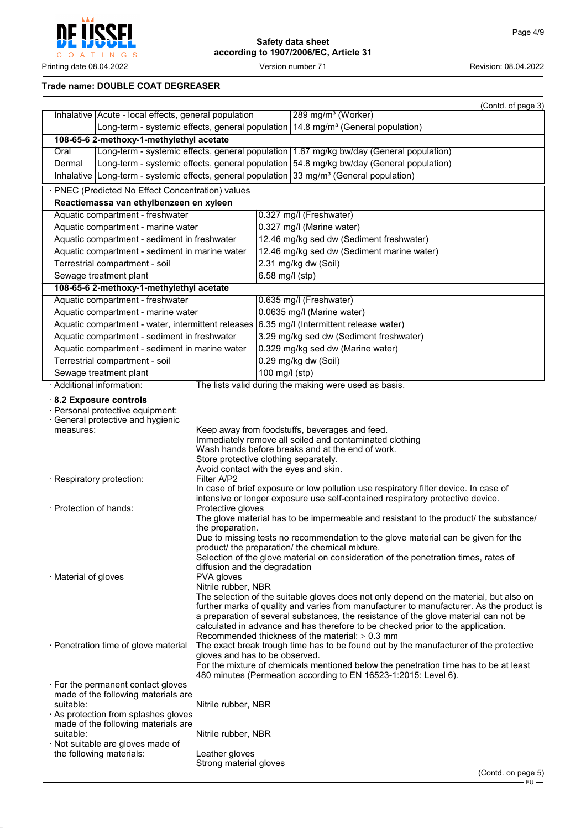

### **Trade name: DOUBLE COAT DEGREASER**

|                                                                                                                                                                                                                                                         |                                                                                                                                        |                 | (Contd. of page 3)                                                                                                                                                                                                                                                                                                                                                                                                                                                                                                                                                                                                                                |  |
|---------------------------------------------------------------------------------------------------------------------------------------------------------------------------------------------------------------------------------------------------------|----------------------------------------------------------------------------------------------------------------------------------------|-----------------|---------------------------------------------------------------------------------------------------------------------------------------------------------------------------------------------------------------------------------------------------------------------------------------------------------------------------------------------------------------------------------------------------------------------------------------------------------------------------------------------------------------------------------------------------------------------------------------------------------------------------------------------------|--|
| Inhalative   Acute - local effects, general population                                                                                                                                                                                                  |                                                                                                                                        |                 | 289 mg/m <sup>3</sup> (Worker)                                                                                                                                                                                                                                                                                                                                                                                                                                                                                                                                                                                                                    |  |
|                                                                                                                                                                                                                                                         |                                                                                                                                        |                 | Long-term - systemic effects, general population $14.8$ mg/m <sup>3</sup> (General population)                                                                                                                                                                                                                                                                                                                                                                                                                                                                                                                                                    |  |
| 108-65-6 2-methoxy-1-methylethyl acetate                                                                                                                                                                                                                |                                                                                                                                        |                 |                                                                                                                                                                                                                                                                                                                                                                                                                                                                                                                                                                                                                                                   |  |
| Oral                                                                                                                                                                                                                                                    |                                                                                                                                        |                 | Long-term - systemic effects, general population 1.67 mg/kg bw/day (General population)                                                                                                                                                                                                                                                                                                                                                                                                                                                                                                                                                           |  |
| Dermal                                                                                                                                                                                                                                                  |                                                                                                                                        |                 | Long-term - systemic effects, general population 54.8 mg/kg bw/day (General population)                                                                                                                                                                                                                                                                                                                                                                                                                                                                                                                                                           |  |
| Inhalative Long-term - systemic effects, general population $33 \text{ mg/m}^3$ (General population)                                                                                                                                                    |                                                                                                                                        |                 |                                                                                                                                                                                                                                                                                                                                                                                                                                                                                                                                                                                                                                                   |  |
| · PNEC (Predicted No Effect Concentration) values                                                                                                                                                                                                       |                                                                                                                                        |                 |                                                                                                                                                                                                                                                                                                                                                                                                                                                                                                                                                                                                                                                   |  |
| Reactiemassa van ethylbenzeen en xyleen                                                                                                                                                                                                                 |                                                                                                                                        |                 |                                                                                                                                                                                                                                                                                                                                                                                                                                                                                                                                                                                                                                                   |  |
| Aquatic compartment - freshwater                                                                                                                                                                                                                        |                                                                                                                                        |                 | 0.327 mg/l (Freshwater)                                                                                                                                                                                                                                                                                                                                                                                                                                                                                                                                                                                                                           |  |
| Aquatic compartment - marine water                                                                                                                                                                                                                      |                                                                                                                                        |                 | 0.327 mg/l (Marine water)                                                                                                                                                                                                                                                                                                                                                                                                                                                                                                                                                                                                                         |  |
| Aquatic compartment - sediment in freshwater                                                                                                                                                                                                            |                                                                                                                                        |                 | 12.46 mg/kg sed dw (Sediment freshwater)                                                                                                                                                                                                                                                                                                                                                                                                                                                                                                                                                                                                          |  |
| Aquatic compartment - sediment in marine water                                                                                                                                                                                                          |                                                                                                                                        |                 | 12.46 mg/kg sed dw (Sediment marine water)                                                                                                                                                                                                                                                                                                                                                                                                                                                                                                                                                                                                        |  |
| Terrestrial compartment - soil                                                                                                                                                                                                                          |                                                                                                                                        |                 | 2.31 mg/kg dw (Soil)                                                                                                                                                                                                                                                                                                                                                                                                                                                                                                                                                                                                                              |  |
| Sewage treatment plant                                                                                                                                                                                                                                  |                                                                                                                                        | 6.58 mg/l (stp) |                                                                                                                                                                                                                                                                                                                                                                                                                                                                                                                                                                                                                                                   |  |
| 108-65-6 2-methoxy-1-methylethyl acetate<br>Aquatic compartment - freshwater                                                                                                                                                                            |                                                                                                                                        |                 | 0.635 mg/l (Freshwater)                                                                                                                                                                                                                                                                                                                                                                                                                                                                                                                                                                                                                           |  |
| Aquatic compartment - marine water                                                                                                                                                                                                                      |                                                                                                                                        |                 | 0.0635 mg/l (Marine water)                                                                                                                                                                                                                                                                                                                                                                                                                                                                                                                                                                                                                        |  |
| Aquatic compartment - water, intermittent releases 6.35 mg/l (Intermittent release water)                                                                                                                                                               |                                                                                                                                        |                 |                                                                                                                                                                                                                                                                                                                                                                                                                                                                                                                                                                                                                                                   |  |
| Aquatic compartment - sediment in freshwater                                                                                                                                                                                                            |                                                                                                                                        |                 | 3.29 mg/kg sed dw (Sediment freshwater)                                                                                                                                                                                                                                                                                                                                                                                                                                                                                                                                                                                                           |  |
| Aquatic compartment - sediment in marine water                                                                                                                                                                                                          |                                                                                                                                        |                 | 0.329 mg/kg sed dw (Marine water)                                                                                                                                                                                                                                                                                                                                                                                                                                                                                                                                                                                                                 |  |
| Terrestrial compartment - soil                                                                                                                                                                                                                          |                                                                                                                                        |                 | 0.29 mg/kg dw (Soil)                                                                                                                                                                                                                                                                                                                                                                                                                                                                                                                                                                                                                              |  |
| Sewage treatment plant                                                                                                                                                                                                                                  |                                                                                                                                        | 100 mg/l (stp)  |                                                                                                                                                                                                                                                                                                                                                                                                                                                                                                                                                                                                                                                   |  |
| · Additional information:                                                                                                                                                                                                                               |                                                                                                                                        |                 | The lists valid during the making were used as basis.                                                                                                                                                                                                                                                                                                                                                                                                                                                                                                                                                                                             |  |
| $\cdot$ 8.2 Exposure controls<br>· Personal protective equipment:<br>· General protective and hygienic<br>measures:<br>· Respiratory protection:<br>$\cdot$ Protection of hands:                                                                        | Store protective clothing separately.<br>Avoid contact with the eyes and skin.<br>Filter A/P2<br>Protective gloves<br>the preparation. |                 | Keep away from foodstuffs, beverages and feed.<br>Immediately remove all soiled and contaminated clothing<br>Wash hands before breaks and at the end of work.<br>In case of brief exposure or low pollution use respiratory filter device. In case of<br>intensive or longer exposure use self-contained respiratory protective device.<br>The glove material has to be impermeable and resistant to the product/ the substance/                                                                                                                                                                                                                  |  |
| · Material of gloves                                                                                                                                                                                                                                    | diffusion and the degradation<br>PVA gloves<br>Nitrile rubber, NBR                                                                     |                 | Due to missing tests no recommendation to the glove material can be given for the<br>product/ the preparation/ the chemical mixture.<br>Selection of the glove material on consideration of the penetration times, rates of<br>The selection of the suitable gloves does not only depend on the material, but also on<br>further marks of quality and varies from manufacturer to manufacturer. As the product is<br>a preparation of several substances, the resistance of the glove material can not be<br>calculated in advance and has therefore to be checked prior to the application.<br>Recommended thickness of the material: $> 0.3$ mm |  |
| · Penetration time of glove material                                                                                                                                                                                                                    | gloves and has to be observed.                                                                                                         |                 | The exact break trough time has to be found out by the manufacturer of the protective<br>For the mixture of chemicals mentioned below the penetration time has to be at least<br>480 minutes (Permeation according to EN 16523-1:2015: Level 6).                                                                                                                                                                                                                                                                                                                                                                                                  |  |
| $\cdot$ For the permanent contact gloves<br>made of the following materials are<br>suitable:<br>As protection from splashes gloves<br>made of the following materials are<br>suitable:<br>· Not suitable are gloves made of<br>the following materials: | Nitrile rubber, NBR<br>Nitrile rubber, NBR<br>Leather gloves                                                                           |                 |                                                                                                                                                                                                                                                                                                                                                                                                                                                                                                                                                                                                                                                   |  |
|                                                                                                                                                                                                                                                         | Strong material gloves                                                                                                                 |                 |                                                                                                                                                                                                                                                                                                                                                                                                                                                                                                                                                                                                                                                   |  |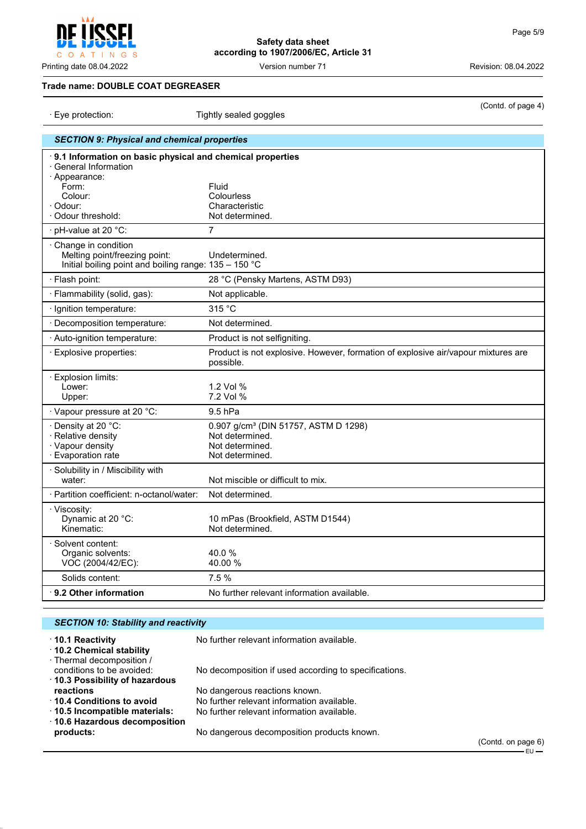### **Trade name: DOUBLE COAT DEGREASER**

| Eye protection:<br>Tightly sealed goggles |                                                                                                                                     | soma. or pago                                                                                             |  |
|-------------------------------------------|-------------------------------------------------------------------------------------------------------------------------------------|-----------------------------------------------------------------------------------------------------------|--|
|                                           | <b>SECTION 9: Physical and chemical properties</b>                                                                                  |                                                                                                           |  |
|                                           | 9.1 Information on basic physical and chemical properties<br>· General Information<br>· Appearance:<br>Form:<br>Colour:<br>· Odour: | Fluid<br>Colourless<br>Characteristic                                                                     |  |
|                                           | Odour threshold:                                                                                                                    | Not determined.                                                                                           |  |
|                                           | pH-value at 20 °C:                                                                                                                  | $\overline{7}$                                                                                            |  |
|                                           | Change in condition<br>Melting point/freezing point:<br>Initial boiling point and boiling range: 135 - 150 °C                       | Undetermined.                                                                                             |  |
|                                           | · Flash point:                                                                                                                      | 28 °C (Pensky Martens, ASTM D93)                                                                          |  |
|                                           | · Flammability (solid, gas):                                                                                                        | Not applicable.                                                                                           |  |
|                                           | · Ignition temperature:                                                                                                             | 315 °C                                                                                                    |  |
|                                           | · Decomposition temperature:                                                                                                        | Not determined.                                                                                           |  |
|                                           | · Auto-ignition temperature:                                                                                                        | Product is not selfigniting.                                                                              |  |
|                                           | · Explosive properties:                                                                                                             | Product is not explosive. However, formation of explosive air/vapour mixtures are<br>possible.            |  |
|                                           | $\cdot$ Explosion limits:<br>Lower:<br>Upper:                                                                                       | 1.2 Vol %<br>7.2 Vol %                                                                                    |  |
|                                           | · Vapour pressure at 20 °C:                                                                                                         | 9.5 hPa                                                                                                   |  |
|                                           | · Density at 20 °C:<br>· Relative density<br>· Vapour density<br>· Evaporation rate                                                 | 0.907 g/cm <sup>3</sup> (DIN 51757, ASTM D 1298)<br>Not determined.<br>Not determined.<br>Not determined. |  |
|                                           | · Solubility in / Miscibility with<br>water:                                                                                        | Not miscible or difficult to mix.                                                                         |  |
|                                           | · Partition coefficient: n-octanol/water:                                                                                           | Not determined.                                                                                           |  |
|                                           | · Viscosity:<br>Dynamic at 20 °C:<br>Kinematic:                                                                                     | 10 mPas (Brookfield, ASTM D1544)<br>Not determined.                                                       |  |
|                                           | · Solvent content:<br>Organic solvents:<br>VOC (2004/42/EC):                                                                        | 40.0%<br>40.00 %                                                                                          |  |
|                                           | Solids content:                                                                                                                     | 7.5%                                                                                                      |  |
|                                           | $\cdot$ 9.2 Other information                                                                                                       | No further relevant information available.                                                                |  |
|                                           |                                                                                                                                     |                                                                                                           |  |

| <b>SECTION 10: Stability and reactivity</b>                                             |                                                       |          |
|-----------------------------------------------------------------------------------------|-------------------------------------------------------|----------|
| ⋅ 10.1 Reactivity<br>10.2 Chemical stability                                            | No further relevant information available.            |          |
| · Thermal decomposition /<br>conditions to be avoided:<br>10.3 Possibility of hazardous | No decomposition if used according to specifications. |          |
| reactions                                                                               | No dangerous reactions known.                         |          |
| ⋅ 10.4 Conditions to avoid                                                              | No further relevant information available.            |          |
| 10.5 Incompatible materials:<br>⋅ 10.6 Hazardous decomposition                          | No further relevant information available.            |          |
| products:                                                                               | No dangerous decomposition products known.            |          |
|                                                                                         |                                                       | (Contd c |

(Contd. on page 6)  $-EU$ 



(Contd. of page 4)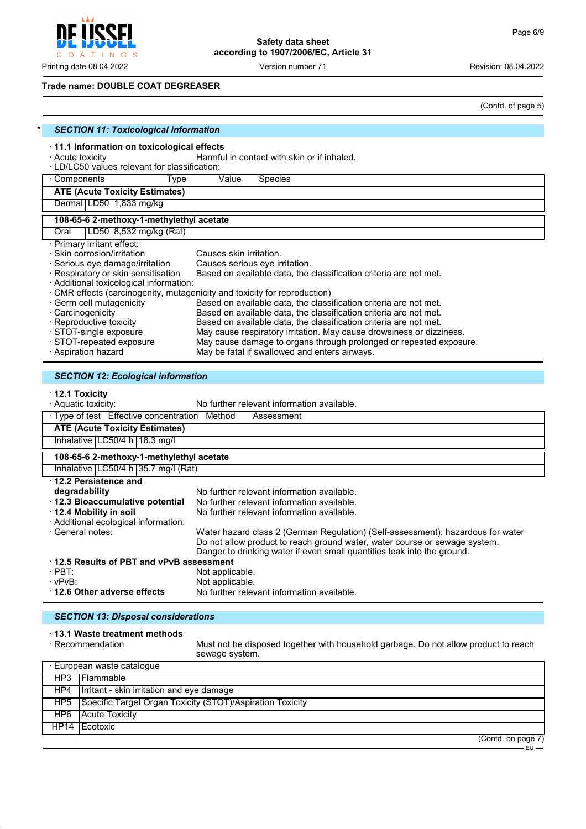**CCEI** Į C O A T I N G S

**Safety data sheet according to 1907/2006/EC, Article 31**

Printing date 08.04.2022 **Version number 71** Version 100 Version 21

### **Trade name: DOUBLE COAT DEGREASER**

(Contd. of page 5)

| <b>SECTION 11: Toxicological information</b>                                                                                                                                 |                                                                                                                                                                                                                                          |  |
|------------------------------------------------------------------------------------------------------------------------------------------------------------------------------|------------------------------------------------------------------------------------------------------------------------------------------------------------------------------------------------------------------------------------------|--|
| · 11.1 Information on toxicological effects<br>· Acute toxicity<br>· LD/LC50 values relevant for classification:                                                             | Harmful in contact with skin or if inhaled.                                                                                                                                                                                              |  |
| · Components<br>Type                                                                                                                                                         | Value<br><b>Species</b>                                                                                                                                                                                                                  |  |
| <b>ATE (Acute Toxicity Estimates)</b>                                                                                                                                        |                                                                                                                                                                                                                                          |  |
| Dermal   LD50   1,833 mg/kg                                                                                                                                                  |                                                                                                                                                                                                                                          |  |
| 108-65-6 2-methoxy-1-methylethyl acetate                                                                                                                                     |                                                                                                                                                                                                                                          |  |
| LD50 8,532 mg/kg (Rat)<br>Oral                                                                                                                                               |                                                                                                                                                                                                                                          |  |
| · Primary irritant effect:<br>Skin corrosion/irritation<br>· Serious eye damage/irritation<br>· Respiratory or skin sensitisation<br>· Additional toxicological information: | Causes skin irritation.<br>Causes serious eye irritation.<br>Based on available data, the classification criteria are not met.<br>· CMR effects (carcinogenity, mutagenicity and toxicity for reproduction)                              |  |
| · Germ cell mutagenicity                                                                                                                                                     | Based on available data, the classification criteria are not met.                                                                                                                                                                        |  |
| · Carcinogenicity                                                                                                                                                            | Based on available data, the classification criteria are not met.                                                                                                                                                                        |  |
| · Reproductive toxicity                                                                                                                                                      | Based on available data, the classification criteria are not met.                                                                                                                                                                        |  |
| · STOT-single exposure<br>· STOT-repeated exposure                                                                                                                           | May cause respiratory irritation. May cause drowsiness or dizziness.<br>May cause damage to organs through prolonged or repeated exposure.                                                                                               |  |
| · Aspiration hazard                                                                                                                                                          | May be fatal if swallowed and enters airways.                                                                                                                                                                                            |  |
| <b>SECTION 12: Ecological information</b><br>$\cdot$ 12.1 Toxicity<br>· Aquatic toxicity:                                                                                    | No further relevant information available.                                                                                                                                                                                               |  |
| · Type of test Effective concentration Method                                                                                                                                | Assessment                                                                                                                                                                                                                               |  |
| <b>ATE (Acute Toxicity Estimates)</b>                                                                                                                                        |                                                                                                                                                                                                                                          |  |
| Inhalative LC50/4 h 18.3 mg/l                                                                                                                                                |                                                                                                                                                                                                                                          |  |
| 108-65-6 2-methoxy-1-methylethyl acetate                                                                                                                                     |                                                                                                                                                                                                                                          |  |
| Inhalative   LC50/4 h   35.7 mg/l (Rat)                                                                                                                                      |                                                                                                                                                                                                                                          |  |
| 12.2 Persistence and                                                                                                                                                         |                                                                                                                                                                                                                                          |  |
| degradability                                                                                                                                                                | No further relevant information available.                                                                                                                                                                                               |  |
| · 12.3 Bioaccumulative potential<br>12.4 Mobility in soil                                                                                                                    | No further relevant information available.<br>No further relevant information available.                                                                                                                                                 |  |
| · Additional ecological information:                                                                                                                                         |                                                                                                                                                                                                                                          |  |
| · General notes:                                                                                                                                                             | Water hazard class 2 (German Regulation) (Self-assessment): hazardous for water<br>Do not allow product to reach ground water, water course or sewage system.<br>Danger to drinking water if even small quantities leak into the ground. |  |
| 12.5 Results of PBT and vPvB assessment                                                                                                                                      |                                                                                                                                                                                                                                          |  |
|                                                                                                                                                                              |                                                                                                                                                                                                                                          |  |
| $\cdot$ PBT:                                                                                                                                                                 | Not applicable.                                                                                                                                                                                                                          |  |
| $\cdot$ vPvB:<br>12.6 Other adverse effects                                                                                                                                  | Not applicable.<br>No further relevant information available.                                                                                                                                                                            |  |

# *SECTION 13: Disposal considerations*

### · **13.1 Waste treatment methods**

|     | $\cdot$ Recommendation                    | Must not be disposed together with household garbage. Do not allow product to reach<br>sewage system. |                      |
|-----|-------------------------------------------|-------------------------------------------------------------------------------------------------------|----------------------|
|     | · European waste catalogue                |                                                                                                       |                      |
|     | HP3 Flammable                             |                                                                                                       |                      |
| HP4 | Irritant - skin irritation and eye damage |                                                                                                       |                      |
| HP5 |                                           | Specific Target Organ Toxicity (STOT)/Aspiration Toxicity                                             |                      |
| HP6 | <b>Acute Toxicity</b>                     |                                                                                                       |                      |
|     | HP14 Ecotoxic                             |                                                                                                       |                      |
|     |                                           |                                                                                                       | (Constant on none 7) |

(Contd. on page 7)

EU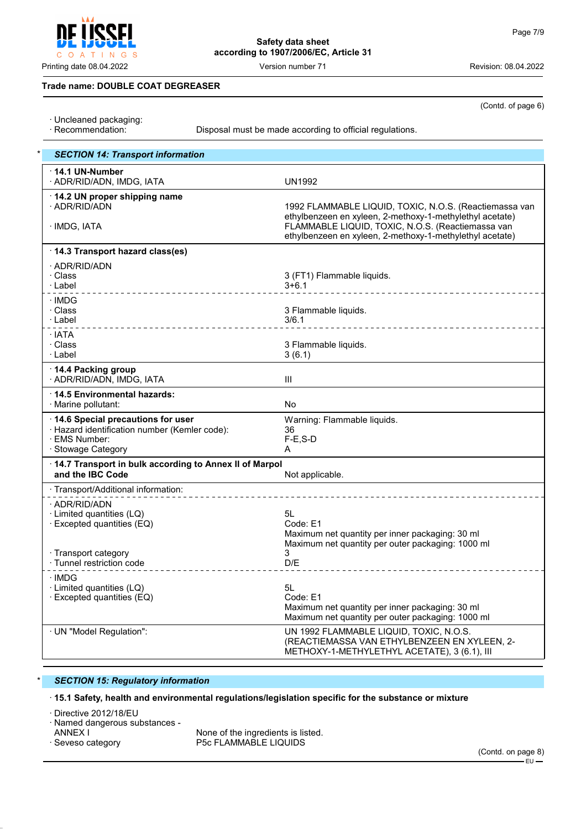Printing date 08.04.2022 Version number 71 Revision: 08.04.2022

(Contd. of page 6)

### **Trade name: DOUBLE COAT DEGREASER**

INGS

- · Uncleaned packaging:
- 

 $\circ$  $A$  $\top$ 

Disposal must be made according to official regulations.

| <b>SECTION 14: Transport information</b>                                                                                  |                                                                                                                                         |
|---------------------------------------------------------------------------------------------------------------------------|-----------------------------------------------------------------------------------------------------------------------------------------|
| $\cdot$ 14.1 UN-Number<br>· ADR/RID/ADN, IMDG, IATA                                                                       | <b>UN1992</b>                                                                                                                           |
| · 14.2 UN proper shipping name<br>· ADR/RID/ADN                                                                           | 1992 FLAMMABLE LIQUID, TOXIC, N.O.S. (Reactiemassa van<br>ethylbenzeen en xyleen, 2-methoxy-1-methylethyl acetate)                      |
| · IMDG, IATA                                                                                                              | FLAMMABLE LIQUID, TOXIC, N.O.S. (Reactiemassa van<br>ethylbenzeen en xyleen, 2-methoxy-1-methylethyl acetate)                           |
| 14.3 Transport hazard class(es)                                                                                           |                                                                                                                                         |
| · ADR/RID/ADN<br>· Class<br>· Label                                                                                       | 3 (FT1) Flammable liquids.<br>$3+6.1$                                                                                                   |
| · IMDG<br>· Class<br>· Label                                                                                              | 3 Flammable liquids.<br>3/6.1                                                                                                           |
| · IATA<br>· Class<br>· Label                                                                                              | 3 Flammable liquids.<br>3(6.1)                                                                                                          |
| ⋅ 14.4 Packing group<br>· ADR/RID/ADN, IMDG, IATA                                                                         | Ш                                                                                                                                       |
| ⋅14.5 Environmental hazards:<br>· Marine pollutant:                                                                       | <b>No</b>                                                                                                                               |
| 14.6 Special precautions for user<br>· Hazard identification number (Kemler code):<br>· EMS Number:<br>· Stowage Category | Warning: Flammable liquids.<br>36<br>$F-E$ , S-D<br>A                                                                                   |
| 14.7 Transport in bulk according to Annex II of Marpol<br>and the IBC Code                                                | Not applicable.                                                                                                                         |
| · Transport/Additional information:                                                                                       |                                                                                                                                         |
| · ADR/RID/ADN<br>$\cdot$ Limited quantities (LQ)<br>· Excepted quantities (EQ)                                            | 5L<br>Code: E1<br>Maximum net quantity per inner packaging: 30 ml<br>Maximum net quantity per outer packaging: 1000 ml                  |
| · Transport category<br>· Tunnel restriction code                                                                         | 3<br>D/E                                                                                                                                |
| · IMDG<br>· Limited quantities (LQ)<br>$\cdot$ Excepted quantities (EQ)                                                   | 5L<br>Code: E1<br>Maximum net quantity per inner packaging: 30 ml<br>Maximum net quantity per outer packaging: 1000 ml                  |
| · UN "Model Regulation":                                                                                                  | UN 1992 FLAMMABLE LIQUID, TOXIC, N.O.S.<br>(REACTIEMASSA VAN ETHYLBENZEEN EN XYLEEN, 2-<br>METHOXY-1-METHYLETHYL ACETATE), 3 (6.1), III |

### \* *SECTION 15: Regulatory information*

· **15.1 Safety, health and environmental regulations/legislation specific for the substance or mixture**

· Directive 2012/18/EU

· Named dangerous substances -

ANNEX I THE SERVICE OF SERVICE ANNEX IS ISSUED.<br>
Seveso category The Service P5c FLAMMABLE LIQUIDS P5c FLAMMABLE LIQUIDS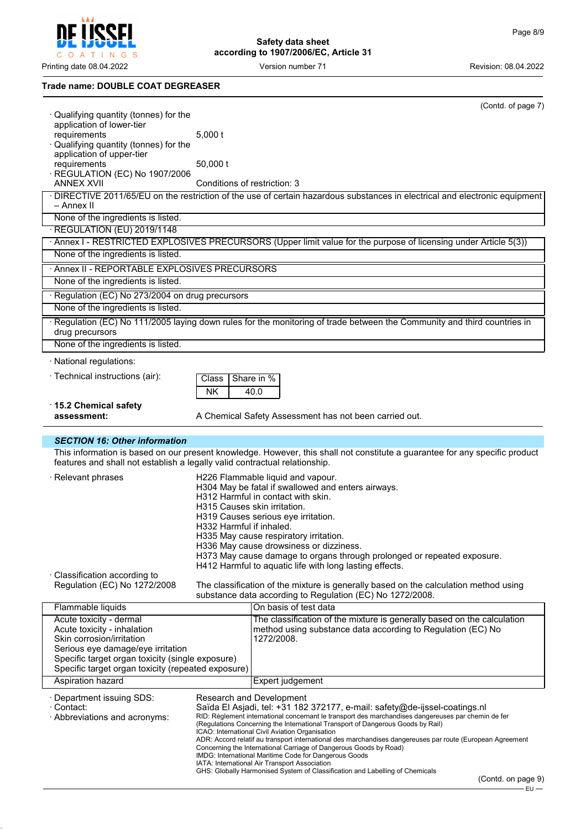ïeeci COATINGS

Printing date 08.04.2022 **Version number 71** Version 100 Version 21

 $\overline{\mathbf{r}}$ 

# **Safety data sheet according to 1907/2006/EC, Article 31**

### **Trade name: DOUBLE COAT DEGREASER**

|                                                                                                        |                              | (Contd. of page 7)                                                                                                                                                                     |
|--------------------------------------------------------------------------------------------------------|------------------------------|----------------------------------------------------------------------------------------------------------------------------------------------------------------------------------------|
| · Qualifying quantity (tonnes) for the<br>application of lower-tier                                    |                              |                                                                                                                                                                                        |
| requirements                                                                                           | $5,000$ t                    |                                                                                                                                                                                        |
| Qualifying quantity (tonnes) for the                                                                   |                              |                                                                                                                                                                                        |
| application of upper-tier<br>requirements                                                              | 50,000 t                     |                                                                                                                                                                                        |
| · REGULATION (EC) No 1907/2006                                                                         |                              |                                                                                                                                                                                        |
| <b>ANNEX XVII</b>                                                                                      | Conditions of restriction: 3 |                                                                                                                                                                                        |
| – Annex II                                                                                             |                              | · DIRECTIVE 2011/65/EU on the restriction of the use of certain hazardous substances in electrical and electronic equipment                                                            |
| None of the ingredients is listed.                                                                     |                              |                                                                                                                                                                                        |
| · REGULATION (EU) 2019/1148                                                                            |                              |                                                                                                                                                                                        |
|                                                                                                        |                              | · Annex I - RESTRICTED EXPLOSIVES PRECURSORS (Upper limit value for the purpose of licensing under Article 5(3))                                                                       |
| None of the ingredients is listed.                                                                     |                              |                                                                                                                                                                                        |
| · Annex II - REPORTABLE EXPLOSIVES PRECURSORS                                                          |                              |                                                                                                                                                                                        |
| None of the ingredients is listed.                                                                     |                              |                                                                                                                                                                                        |
| · Regulation (EC) No 273/2004 on drug precursors                                                       |                              |                                                                                                                                                                                        |
| None of the ingredients is listed.                                                                     |                              |                                                                                                                                                                                        |
| drug precursors                                                                                        |                              | Regulation (EC) No 111/2005 laying down rules for the monitoring of trade between the Community and third countries in                                                                 |
| None of the ingredients is listed.                                                                     |                              |                                                                                                                                                                                        |
| · National regulations:                                                                                |                              |                                                                                                                                                                                        |
| · Technical instructions (air):                                                                        | Class                        | Share in %                                                                                                                                                                             |
|                                                                                                        | <b>NK</b>                    | 40.0                                                                                                                                                                                   |
| ⋅15.2 Chemical safety                                                                                  |                              |                                                                                                                                                                                        |
| assessment:                                                                                            |                              | A Chemical Safety Assessment has not been carried out.                                                                                                                                 |
| <b>SECTION 16: Other information</b>                                                                   |                              |                                                                                                                                                                                        |
|                                                                                                        |                              | This information is based on our present knowledge. However, this shall not constitute a guarantee for any specific product                                                            |
| features and shall not establish a legally valid contractual relationship.                             |                              |                                                                                                                                                                                        |
| · Relevant phrases                                                                                     |                              | H226 Flammable liquid and vapour.                                                                                                                                                      |
|                                                                                                        |                              | H304 May be fatal if swallowed and enters airways.<br>H312 Harmful in contact with skin.                                                                                               |
|                                                                                                        | H315 Causes skin irritation. |                                                                                                                                                                                        |
|                                                                                                        |                              | H319 Causes serious eye irritation.                                                                                                                                                    |
|                                                                                                        | H332 Harmful if inhaled.     | H335 May cause respiratory irritation.                                                                                                                                                 |
|                                                                                                        |                              | H336 May cause drowsiness or dizziness.                                                                                                                                                |
|                                                                                                        |                              | H373 May cause damage to organs through prolonged or repeated exposure.                                                                                                                |
|                                                                                                        |                              | H412 Harmful to aquatic life with long lasting effects.                                                                                                                                |
|                                                                                                        |                              |                                                                                                                                                                                        |
| · Classification according to<br>Regulation (EC) No 1272/2008                                          |                              | The classification of the mixture is generally based on the calculation method using                                                                                                   |
|                                                                                                        |                              | substance data according to Regulation (EC) No 1272/2008.                                                                                                                              |
| Flammable liquids                                                                                      |                              | On basis of test data                                                                                                                                                                  |
| Acute toxicity - dermal                                                                                |                              | The classification of the mixture is generally based on the calculation                                                                                                                |
| Acute toxicity - inhalation<br>Skin corrosion/irritation                                               |                              | method using substance data according to Regulation (EC) No<br>1272/2008.                                                                                                              |
| Serious eye damage/eye irritation                                                                      |                              |                                                                                                                                                                                        |
| Specific target organ toxicity (single exposure)<br>Specific target organ toxicity (repeated exposure) |                              |                                                                                                                                                                                        |
| Aspiration hazard                                                                                      |                              | Expert judgement                                                                                                                                                                       |
|                                                                                                        |                              |                                                                                                                                                                                        |
| · Department issuing SDS:<br>· Contact:                                                                |                              | Research and Development<br>Saïda El Asjadi, tel: +31 182 372177, e-mail: safety@de-ijssel-coatings.nl                                                                                 |
| · Abbreviations and acronyms:                                                                          |                              | RID: Règlement international concernant le transport des marchandises dangereuses par chemin de fer<br>(Regulations Concerning the International Transport of Dangerous Goods by Rail) |
|                                                                                                        |                              | ICAO: International Civil Aviation Organisation                                                                                                                                        |
|                                                                                                        |                              | ADR: Accord relatif au transport international des marchandises dangereuses par route (European Agreement<br>Concerning the International Carriage of Dangerous Goods by Road)         |
|                                                                                                        |                              | IMDG: International Maritime Code for Dangerous Goods<br>IATA: International Air Transport Association<br>GHS: Globally Harmonised System of Classification and Labelling of Chemicals |